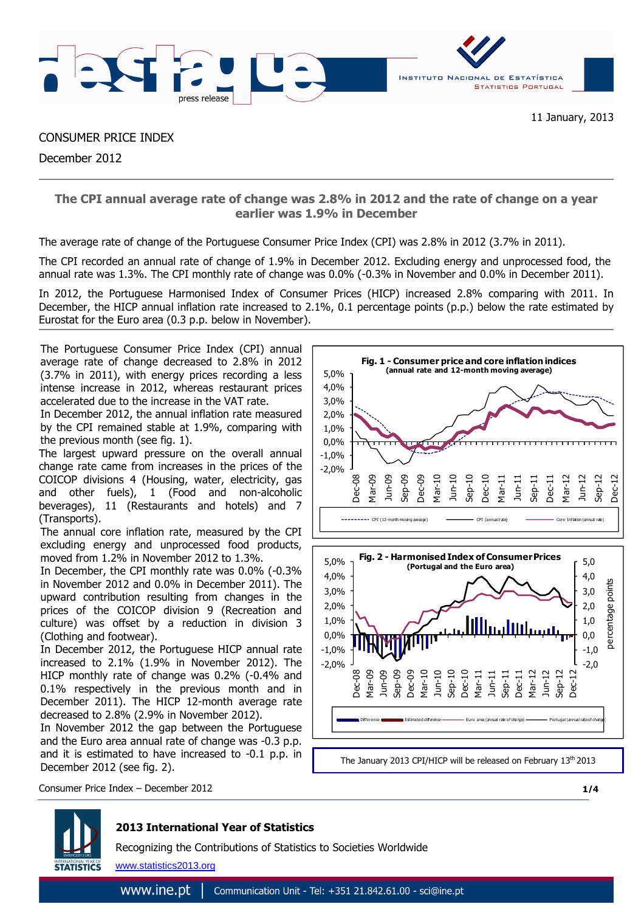

CONSUMER PRICE INDEX December 2012

> **The CPI annual average rate of change was 2.8% in 2012 and the rate of change on a year earlier was 1.9% in December**

The average rate of change of the Portuguese Consumer Price Index (CPI) was 2.8% in 2012 (3.7% in 2011).

The CPI recorded an annual rate of change of 1.9% in December 2012. Excluding energy and unprocessed food, the annual rate was 1.3%. The CPI monthly rate of change was 0.0% (-0.3% in November and 0.0% in December 2011).

In 2012, the Portuguese Harmonised Index of Consumer Prices (HICP) increased 2.8% comparing with 2011. In December, the HICP annual inflation rate increased to 2.1%, 0.1 percentage points (p.p.) below the rate estimated by Eurostat for the Euro area (0.3 p.p. below in November).

The Portuguese Consumer Price Index (CPI) annual average rate of change decreased to 2.8% in 2012 (3.7% in 2011), with energy prices recording a less intense increase in 2012, whereas restaurant prices accelerated due to the increase in the VAT rate.

In December 2012, the annual inflation rate measured by the CPI remained stable at 1.9%, comparing with the previous month (see fig. 1).

The largest upward pressure on the overall annual change rate came from increases in the prices of the COICOP divisions 4 (Housing, water, electricity, gas and other fuels), 1 (Food and non-alcoholic beverages), 11 (Restaurants and hotels) and 7 (Transports).

The annual core inflation rate, measured by the CPI excluding energy and unprocessed food products, moved from 1.2% in November 2012 to 1.3%.

In December, the CPI monthly rate was 0.0% (-0.3% in November 2012 and 0.0% in December 2011). The upward contribution resulting from changes in the prices of the COICOP division 9 (Recreation and culture) was offset by a reduction in division 3 (Clothing and footwear).

In December 2012, the Portuguese HICP annual rate increased to 2.1% (1.9% in November 2012). The HICP monthly rate of change was 0.2% (-0.4% and 0.1% respectively in the previous month and in December 2011). The HICP 12-month average rate decreased to 2.8% (2.9% in November 2012).

In November 2012 the gap between the Portuguese and the Euro area annual rate of change was -0.3 p.p. and it is estimated to have increased to -0.1 p.p. in December 2012 (see fig. 2).





**1/4**

Consumer Price Index – December 2012

# **2013 International Year of Statistics**

Recognizing the Contributions of Statistics to Societies Worldwide

www.statistics2013.org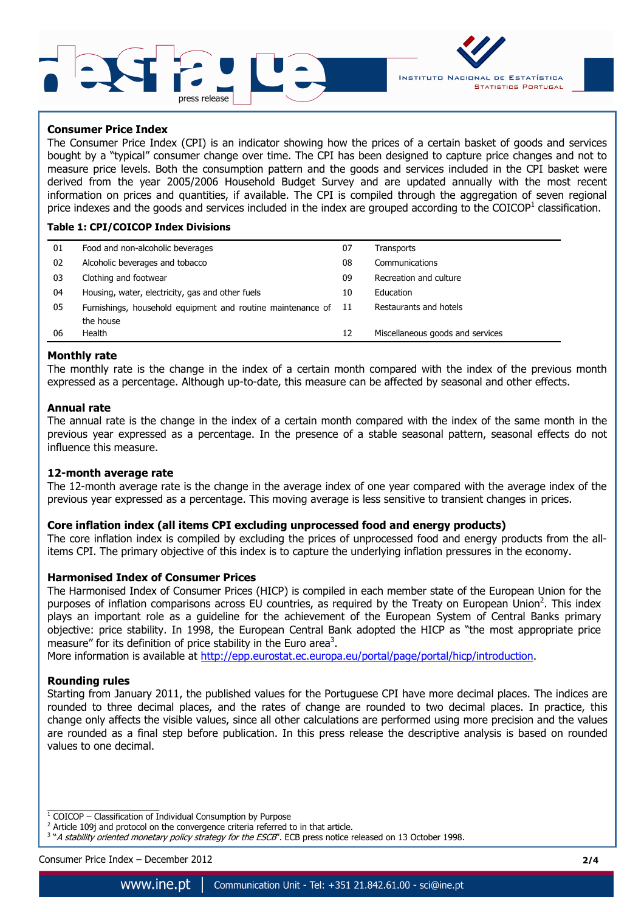



### **Consumer Price Index**

The Consumer Price Index (CPI) is an indicator showing how the prices of a certain basket of goods and services bought by a "typical" consumer change over time. The CPI has been designed to capture price changes and not to measure price levels. Both the consumption pattern and the goods and services included in the CPI basket were derived from the year 2005/2006 Household Budget Survey and are updated annually with the most recent information on prices and quantities, if available. The CPI is compiled through the aggregation of seven regional price indexes and the goods and services included in the index are grouped according to the COICOP<sup>1</sup> classification.

#### **Table 1: CPI/COICOP Index Divisions**

| 01 | Food and non-alcoholic beverages                            | 07  | Transports                       |
|----|-------------------------------------------------------------|-----|----------------------------------|
| 02 | Alcoholic beverages and tobacco                             | 08  | Communications                   |
| 03 | Clothing and footwear                                       | 09  | Recreation and culture           |
| 04 | Housing, water, electricity, gas and other fuels            | 10  | <b>Education</b>                 |
| 05 | Furnishings, household equipment and routine maintenance of | -11 | Restaurants and hotels           |
|    | the house                                                   |     |                                  |
| 06 | Health                                                      | 12  | Miscellaneous goods and services |

#### **Monthly rate**

The monthly rate is the change in the index of a certain month compared with the index of the previous month expressed as a percentage. Although up-to-date, this measure can be affected by seasonal and other effects.

#### **Annual rate**

The annual rate is the change in the index of a certain month compared with the index of the same month in the previous year expressed as a percentage. In the presence of a stable seasonal pattern, seasonal effects do not influence this measure.

#### **12-month average rate**

The 12-month average rate is the change in the average index of one year compared with the average index of the previous year expressed as a percentage. This moving average is less sensitive to transient changes in prices.

### **Core inflation index (all items CPI excluding unprocessed food and energy products)**

The core inflation index is compiled by excluding the prices of unprocessed food and energy products from the allitems CPI. The primary objective of this index is to capture the underlying inflation pressures in the economy.

#### **Harmonised Index of Consumer Prices**

The Harmonised Index of Consumer Prices (HICP) is compiled in each member state of the European Union for the purposes of inflation comparisons across EU countries, as required by the Treaty on European Union<sup>2</sup>. This index plays an important role as a guideline for the achievement of the European System of Central Banks primary objective: price stability. In 1998, the European Central Bank adopted the HICP as "the most appropriate price measure" for its definition of price stability in the Euro area<sup>3</sup>.

More information is available at http://epp.eurostat.ec.europa.eu/portal/page/portal/hicp/introduction.

#### **Rounding rules**

Starting from January 2011, the published values for the Portuguese CPI have more decimal places. The indices are rounded to three decimal places, and the rates of change are rounded to two decimal places. In practice, this change only affects the visible values, since all other calculations are performed using more precision and the values are rounded as a final step before publication. In this press release the descriptive analysis is based on rounded values to one decimal.

Consumer Price Index – December 2012 **2/4**

<sup>1&</sup>lt;br><sup>1</sup> COICOP – Classification of Individual Consumption by Purpose

 $2$  Article 109j and protocol on the convergence criteria referred to in that article.

<sup>&</sup>lt;sup>3</sup> "A stability oriented monetary policy strategy for the ESCB". ECB press notice released on 13 October 1998.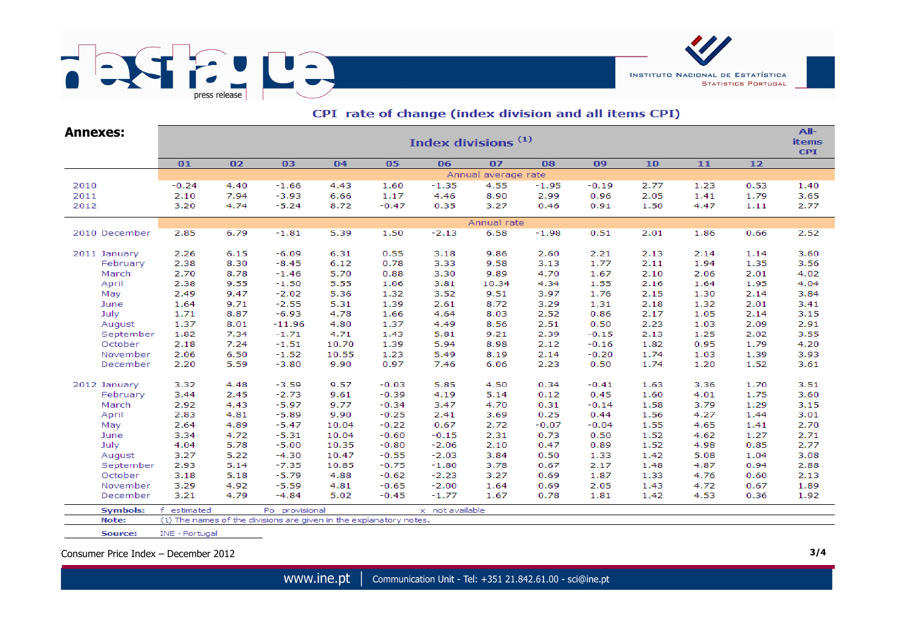

| <b>Annexes:</b> | Index divisions <sup>(1)</sup> |                |                                                                    |       |         |                 |                     |         |         |      |      |      | All-<br><b>items</b><br><b>CPI</b> |  |  |
|-----------------|--------------------------------|----------------|--------------------------------------------------------------------|-------|---------|-----------------|---------------------|---------|---------|------|------|------|------------------------------------|--|--|
|                 | 01                             | 02<br>03<br>04 |                                                                    |       | 05      | 06              | 07                  | 08      | 09      | 10   | $11$ | $12$ |                                    |  |  |
|                 |                                |                |                                                                    |       |         |                 | Annual average rate |         |         |      |      |      |                                    |  |  |
| 2010            | $-0.24$                        | 4.40           | $-1.66$                                                            | 4.43  | 1.60    | $-1.35$         | 4.55                | $-1.95$ | $-0.19$ | 2.77 | 1.23 | 0.53 | 1.40                               |  |  |
| 2011            | 2.10                           | 7.94           | $-3.93$                                                            | 6.66  | 1.17    | 4.46            | 8.90                | 2.99    | 0.96    | 2.05 | 1.41 | 1.79 | 3.65                               |  |  |
| 2012            | 3.20                           | 4.74           | $-5.24$                                                            | 8.72  | $-0.47$ | 0.35            | 3.27                | 0.46    | 0.91    | 1.50 | 4.47 | 1.11 | 2.77                               |  |  |
|                 |                                |                |                                                                    |       |         |                 | Annual rate         |         |         |      |      |      |                                    |  |  |
| 2010 December   | 2.85                           | 6.79           | $-1.81$                                                            | 5.39  | 1.50    | $-2.13$         | 6.58                | $-1.98$ | 0.51    | 2.01 | 1.86 | 0.66 | 2.52                               |  |  |
| 2011 January    | 2.26                           | 6.15           | $-6.09$                                                            | 6.31  | 0.55    | 3.18            | 9.86                | 2.60    | 2.21    | 2.13 | 2.14 | 1.14 | 3.60                               |  |  |
| February        | 2.38                           | 8.30           | $-8.45$                                                            | 6.12  | 0.78    | 3.33            | 9.58                | 3.13    | 1.77    | 2.11 | 1.94 | 1.35 | 3.56                               |  |  |
| March           | 2.70                           | 8.78           | $-1.46$                                                            | 5.70  | 0.88    | 3.30            | 9.89                | 4.70    | 1.67    | 2.10 | 2.06 | 2.01 | 4.02                               |  |  |
| April           | 2.38                           | 9.55           | $-1.50$                                                            | 5.55  | 1.06    | 3.81            | 10.34               | 4.34    | 1.55    | 2.16 | 1.64 | 1.95 | 4.04                               |  |  |
| May             | 2.49                           | 9.47           | $-2.02$                                                            | 5.36  | 1.32    | 3.52            | 9.51                | 3.97    | 1.76    | 2.15 | 1.30 | 2.14 | 3.84                               |  |  |
| June            | 1.64                           | 9.71           | $-2.55$                                                            | 5.31  | 1.39    | 2.61            | 8.72                | 3.29    | 1.31    | 2.18 | 1.32 | 2.01 | 3.41                               |  |  |
| July            | 1.71                           | 8.87           | $-6.93$                                                            | 4.78  | 1.66    | 4.64            | 8.03                | 2.52    | 0.86    | 2.17 | 1.05 | 2.14 | 3.15                               |  |  |
| August          | 1.37                           | 8.01           | $-11.96$                                                           | 4.80  | 1.37    | 4.49            | 8.56                | 2.51    | 0.50    | 2.23 | 1.03 | 2.09 | 2.91                               |  |  |
| September       | 1.82                           | 7.34           | $-1.71$                                                            | 4.71  | 1.43    | 5.81            | 9.21                | 2.39    | $-0.15$ | 2.13 | 1.25 | 2.02 | 3.55                               |  |  |
| October         | 2.18                           | 7.24           | $-1.51$                                                            | 10.70 | 1.39    | 5.94            | 8.98                | 2.12    | $-0.16$ | 1.82 | 0.95 | 1.79 | 4.20                               |  |  |
| November        | 2.06                           | 6.50           | $-1.52$                                                            | 10.55 | 1.23    | 5.49            | 8.19                | 2.14    | $-0.20$ | 1.74 | 1.03 | 1.39 | 3.93                               |  |  |
| December        | 2.20                           | 5.59           | $-3.80$                                                            | 9.90  | 0.97    | 7.46            | 6.06                | 2.23    | 0.50    | 1.74 | 1.20 | 1.52 | 3.61                               |  |  |
| 2012 January    | 3.32                           | 4.48           | $-3.59$                                                            | 9.57  | $-0.03$ | 5.85            | 4.50                | 0.34    | $-0.41$ | 1.63 | 3.36 | 1.70 | 3.51                               |  |  |
| February        | 3.44                           | 2.45           | $-2.73$                                                            | 9.61  | $-0.39$ | 4.19            | 5.14                | 0.12    | 0.45    | 1.60 | 4.01 | 1.75 | 3.60                               |  |  |
| March           | 2.92                           | 4.43           | $-5.97$                                                            | 9.77  | $-0.34$ | 3.47            | 4.70                | 0.31    | $-0.14$ | 1.58 | 3.79 | 1.29 | 3.15                               |  |  |
| April           | 2.83                           | 4.81           | $-5.89$                                                            | 9.90  | $-0.25$ | 2.41            | 3.69                | 0.25    | 0.44    | 1.56 | 4.27 | 1.44 | 3.01                               |  |  |
| May             | 2.64                           | 4.89           | $-5.47$                                                            | 10.04 | $-0.22$ | 0.67            | 2.72                | $-0.07$ | $-0.04$ | 1.55 | 4.65 | 1.41 | 2.70                               |  |  |
| June            | 3.34                           | 4.72           | $-5.31$                                                            | 10.04 | $-0.60$ | $-0.15$         | 2.31                | 0.73    | 0.50    | 1.52 | 4.62 | 1.27 | 2.71                               |  |  |
| July            | 4.04                           | 5.78           | $-5.00$                                                            | 10.35 | $-0.80$ | $-2.06$         | 2.10                | 0.47    | 0.89    | 1.52 | 4.98 | 0.85 | 2.77                               |  |  |
| August          | 3.27                           | 5.22           | $-4.30$                                                            | 10.47 | $-0.55$ | $-2.03$         | 3.84                | 0.50    | 1.33    | 1.42 | 5.08 | 1.04 | 3.08                               |  |  |
| September       | 2.93                           | 5.14           | $-7.35$                                                            | 10.85 | $-0.75$ | $-1.80$         | 3.78                | 0.67    | 2.17    | 1.48 | 4.87 | 0.94 | 2.88                               |  |  |
| October         | 3.18                           | 5.18           | $-5.79$                                                            | 4.88  | $-0.62$ | $-2.23$         | 3.27                | 0.69    | 1.87    | 1.33 | 4.76 | 0.60 | 2.13                               |  |  |
| November        | 3.29                           | 4.92           | $-5.59$                                                            | 4.81  | $-0.65$ | $-2.00$         | 1.64                | 0.69    | 2.05    | 1.43 | 4.72 | 0.67 | 1.89                               |  |  |
| December        | 3.21                           | 4.79           | $-4.84$                                                            | 5.02  | $-0.45$ | $-1.77$         | 1.67                | 0.78    | 1.81    | 1.42 | 4.53 | 0.36 | 1.92                               |  |  |
| <b>Symbols:</b> | f<br>estimated                 |                | Po provisional                                                     |       |         | x not available |                     |         |         |      |      |      |                                    |  |  |
| Note:           |                                |                | (1) The names of the divisions are given in the explanatory notes. |       |         |                 |                     |         |         |      |      |      |                                    |  |  |

## CPI rate of change (index division and all items CPI)

Consumer Price Index – December 2012 **3/4**

INE - Portugal

Source:

**INSTITUTO NACIONAL DE ESTATÍSTICA** 

**STATISTICS PORTUGAL**